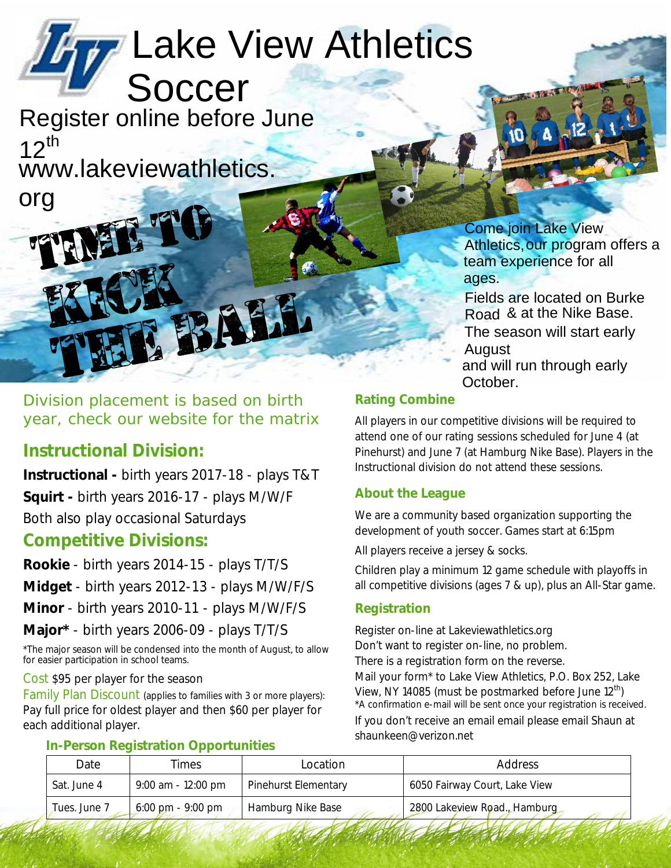# Lake View Athletics Soccer

Register online before June  $12^{th}$ www.lakeviewathletics.

> **Come join Lake View** Athletics, our program offers a team experience for all ages.

Fields are located on Burke Road & at the Nike Base. The season will start early August and will run through early October.

Division placement is based on birth year, check our website for the matrix

## **Instructional Division:**

org

Instructional - birth years 2017-18 - plays T&T Squirt - birth years 2016-17 - plays M/W/F Both also play occasional Saturdays

### **Competitive Divisions:**

Rookie - birth years 2014-15 - plays T/T/S Midget - birth years 2012-13 - plays M/W/F/S Minor - birth years 2010-11 - plays M/W/F/S Major\* - birth years 2006-09 - plays T/T/S

\*The major season will be condensed into the month of August, to allow for easier participation in school teams.

#### Cost \$95 per player for the season

Family Plan Discount (applies to families with 3 or more players): Pay full price for oldest player and then \$60 per player for each additional player.

#### **Rating Combine**

All players in our competitive divisions will be required to attend one of our rating sessions scheduled for June 4 (at Pinehurst) and June 7 (at Hamburg Nike Base). Players in the Instructional division do not attend these sessions.

### **About the League**

We are a community based organization supporting the development of youth soccer. Games start at 6:15pm

All players receive a jersey & socks.

Children play a minimum 12 game schedule with playoffs in all competitive divisions (ages 7 & up), plus an All-Star game.

#### **Registration**

Register on-line at Lakeviewathletics.org Don't want to register on-line, no problem. There is a registration form on the reverse. Mail your form\* to Lake View Athletics, P.O. Box 252, Lake View, NY 14085 (must be postmarked before June 12<sup>th</sup>) \*A confirmation e-mail will be sent once your registration is received. If you don't receive an email email please email Shaun at shaunkeen@verizon.net

#### **In-Person Registration Opportunities Date Times** Location **Address** Sat. June 4 9:00 am - 12:00 pm **Pinehurst Elementary** 6050 Fairway Court, Lake View Tues. June 7 6:00 pm - 9:00 pm Hamburg Nike Base 2800 Lakeview Road., Hamburg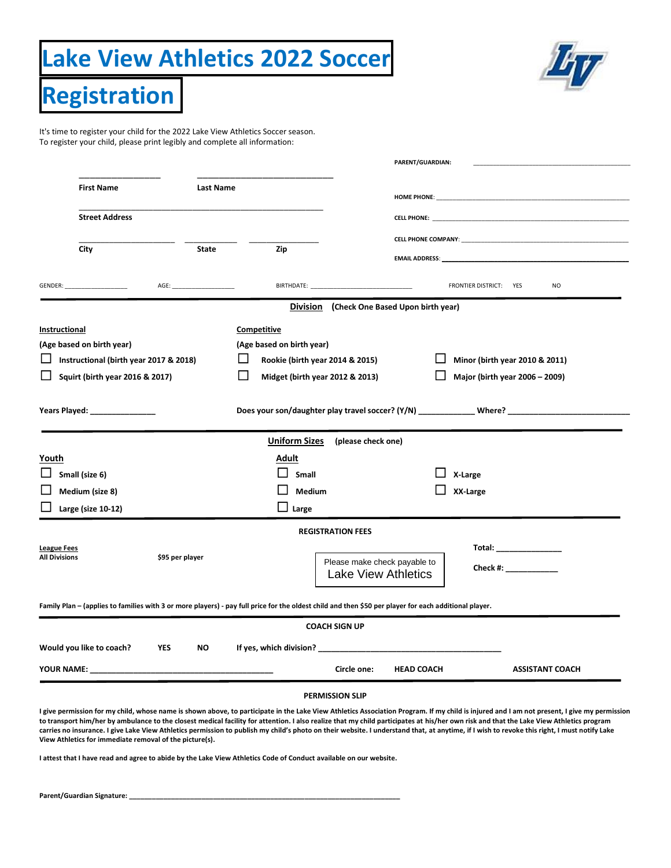# **Lake View Athletics 2022 Soccer**



**Registration**

It's time to register your child for the 2022 Lake View Athletics Soccer season. To register your child, please print legibly and complete all information:

|                                            |                                        |                         |                                                                                                                                                       | PARENT/GUARDIAN:                                                                |                                                                                                                                                                                                                                    |  |
|--------------------------------------------|----------------------------------------|-------------------------|-------------------------------------------------------------------------------------------------------------------------------------------------------|---------------------------------------------------------------------------------|------------------------------------------------------------------------------------------------------------------------------------------------------------------------------------------------------------------------------------|--|
|                                            | <b>First Name</b>                      | Last Name               |                                                                                                                                                       |                                                                                 |                                                                                                                                                                                                                                    |  |
|                                            |                                        |                         |                                                                                                                                                       |                                                                                 |                                                                                                                                                                                                                                    |  |
|                                            |                                        | <b>Street Address</b>   |                                                                                                                                                       | <b>CELL PHONE: CELL PHONE</b><br><b>CELL PHONE COMPANY: CELL PHONE COMPANY:</b> |                                                                                                                                                                                                                                    |  |
|                                            |                                        |                         |                                                                                                                                                       |                                                                                 |                                                                                                                                                                                                                                    |  |
|                                            | City                                   | <b>State</b>            | Zip                                                                                                                                                   |                                                                                 | <b>EMAIL ADDRESS:</b> The contract of the contract of the contract of the contract of the contract of the contract of the contract of the contract of the contract of the contract of the contract of the contract of the contract |  |
|                                            |                                        |                         | <b>BIRTHDATE:</b>                                                                                                                                     |                                                                                 | FRONTIER DISTRICT: YES<br>NO.                                                                                                                                                                                                      |  |
|                                            |                                        |                         |                                                                                                                                                       | Division (Check One Based Upon birth year)                                      |                                                                                                                                                                                                                                    |  |
| Instructional                              |                                        |                         | Competitive                                                                                                                                           |                                                                                 |                                                                                                                                                                                                                                    |  |
|                                            | (Age based on birth year)              |                         | (Age based on birth year)                                                                                                                             |                                                                                 |                                                                                                                                                                                                                                    |  |
|                                            | Instructional (birth year 2017 & 2018) |                         | Rookie (birth year 2014 & 2015)                                                                                                                       |                                                                                 | Minor (birth year 2010 & 2011)                                                                                                                                                                                                     |  |
|                                            | Squirt (birth year 2016 & 2017)        |                         | Midget (birth year 2012 & 2013)                                                                                                                       |                                                                                 | Major (birth year 2006 - 2009)                                                                                                                                                                                                     |  |
|                                            | Years Played: ________________         |                         |                                                                                                                                                       |                                                                                 | Does your son/daughter play travel soccer? (Y/N) Where? Where?                                                                                                                                                                     |  |
|                                            |                                        |                         | <b>Uniform Sizes</b>                                                                                                                                  | (please check one)                                                              |                                                                                                                                                                                                                                    |  |
| Youth                                      |                                        |                         | Adult                                                                                                                                                 |                                                                                 |                                                                                                                                                                                                                                    |  |
|                                            | Small (size 6)                         |                         | Small                                                                                                                                                 |                                                                                 | X-Large                                                                                                                                                                                                                            |  |
|                                            |                                        |                         |                                                                                                                                                       |                                                                                 |                                                                                                                                                                                                                                    |  |
|                                            | Medium (size 8)                        |                         | <b>Medium</b>                                                                                                                                         |                                                                                 | XX-Large                                                                                                                                                                                                                           |  |
|                                            | Large (size 10-12)                     |                         | Large                                                                                                                                                 |                                                                                 |                                                                                                                                                                                                                                    |  |
|                                            |                                        |                         | <b>REGISTRATION FEES</b>                                                                                                                              |                                                                                 |                                                                                                                                                                                                                                    |  |
|                                            |                                        |                         |                                                                                                                                                       |                                                                                 | Total: ________________                                                                                                                                                                                                            |  |
|                                            |                                        | \$95 per player         |                                                                                                                                                       | Please make check payable to<br><b>Lake View Athletics</b>                      | Check #:                                                                                                                                                                                                                           |  |
|                                            |                                        |                         | Family Plan – (applies to families with 3 or more players) - pay full price for the oldest child and then \$50 per player for each additional player. |                                                                                 |                                                                                                                                                                                                                                    |  |
|                                            |                                        |                         | <b>COACH SIGN UP</b>                                                                                                                                  |                                                                                 |                                                                                                                                                                                                                                    |  |
| <b>League Fees</b><br><b>All Divisions</b> | Would you like to coach?               | <b>YES</b><br><b>NO</b> | If yes, which division?                                                                                                                               |                                                                                 |                                                                                                                                                                                                                                    |  |

I give permission for my child, whose name is shown above, to participate in the Lake View Athletics Association Program. If my child is injured and I am not present, I give my permission **to transport him/her by ambulance to the closest medical facility for attention. I also realize that my child participates at his/her own risk and that the Lake View Athletics program**  carries no insurance. I give Lake View Athletics permission to publish my child's photo on their website. I understand that, at anytime, if I wish to revoke this right, I must notify Lake **View Athletics for immediate removal of the picture(s).**

**I attest that I have read and agree to abide by the Lake View Athletics Code of Conduct available on our website.**

Parent/Guardian Signature: